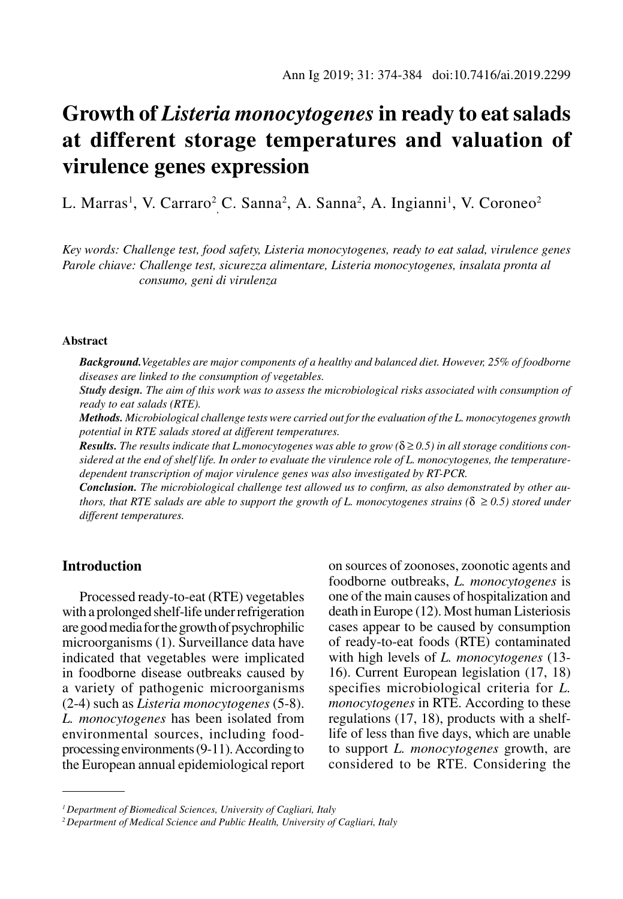# **Growth of** *Listeria monocytogenes* **in ready to eatsalads at different storage temperatures and valuation of virulence genes expression**

L. Marras<sup>1</sup>, V. Carraro<sup>2</sup> C. Sanna<sup>2</sup>, A. Sanna<sup>2</sup>, A. Ingianni<sup>1</sup>, V. Coroneo<sup>2</sup>

*Key words: Challenge test, food safety, Listeria monocytogenes, ready to eat salad, virulence genes Parole chiave: Challenge test, sicurezza alimentare, Listeria monocytogenes, insalata pronta al consumo, geni di virulenza* 

#### **Abstract**

*Background.Vegetables are major components of a healthy and balanced diet. However, 25% of foodborne diseases are linked to the consumption of vegetables.*

*Study design. The aim of this work was to assess the microbiological risks associated with consumption of ready to eat salads (RTE).*

*Methods. Microbiological challenge tests were carried out for the evaluation of the L. monocytogenes growth potential in RTE salads stored at different temperatures.*

*Results. The results indicate that L.monocytogenes was able to grow (*δ ≥ *0.5) in all storage conditions considered at the end of shelf life. In order to evaluate the virulence role of L. monocytogenes, the temperaturedependent transcription of major virulence genes was also investigated by RT-PCR.*

*Conclusion. The microbiological challenge test allowed us to confirm, as also demonstrated by other authors, that RTE salads are able to support the growth of L. monocytogenes strains (* $\delta \ge 0.5$ *) stored under different temperatures.*

# **Introduction**

Processed ready-to-eat (RTE) vegetables with a prolonged shelf-life under refrigeration are good media for the growth of psychrophilic microorganisms (1). Surveillance data have indicated that vegetables were implicated in foodborne disease outbreaks caused by a variety of pathogenic microorganisms (2-4) such as *Listeria monocytogenes* (5-8). *L. monocytogenes* has been isolated from environmental sources, including foodprocessing environments (9-11). According to the European annual epidemiological report on sources of zoonoses, zoonotic agents and foodborne outbreaks, *L. monocytogenes* is one of the main causes of hospitalization and death in Europe (12). Most human Listeriosis cases appear to be caused by consumption of ready-to-eat foods (RTE) contaminated with high levels of *L. monocytogenes* (13- 16). Current European legislation (17, 18) specifies microbiological criteria for *L. monocytogenes* in RTE. According to these regulations (17, 18), products with a shelflife of less than five days, which are unable to support *L. monocytogenes* growth, are considered to be RTE. Considering the

*<sup>1</sup> Department of Biomedical Sciences, University of Cagliari, Italy*

*<sup>2</sup> Department of Medical Science and Public Health, University of Cagliari, Italy*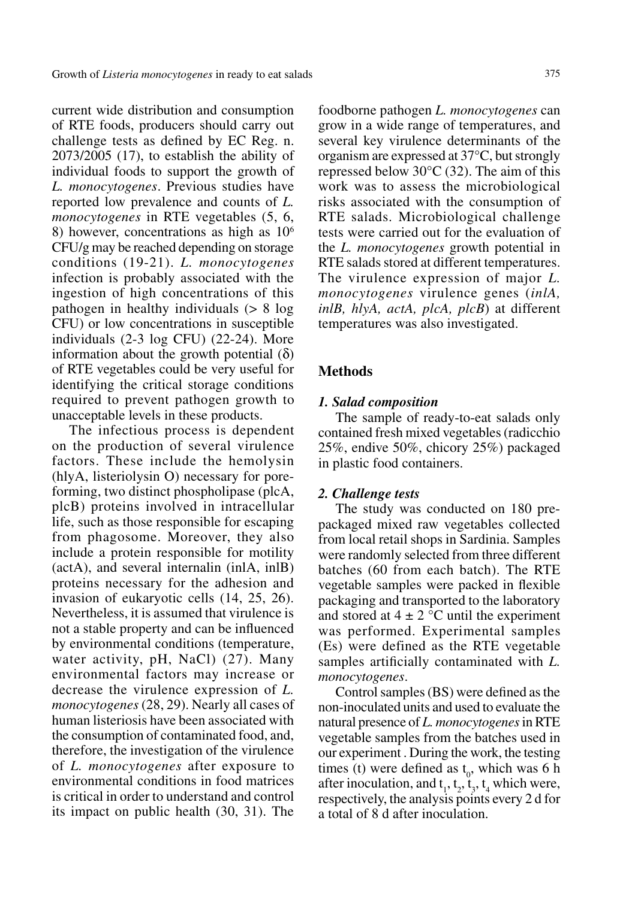current wide distribution and consumption of RTE foods, producers should carry out challenge tests as defined by EC Reg. n. 2073/2005 (17), to establish the ability of individual foods to support the growth of *L. monocytogenes*. Previous studies have reported low prevalence and counts of *L. monocytogenes* in RTE vegetables (5, 6, 8) however, concentrations as high as  $10<sup>6</sup>$ CFU/g may be reached depending on storage conditions (19-21). *L. monocytogenes* infection is probably associated with the ingestion of high concentrations of this pathogen in healthy individuals (> 8 log CFU) or low concentrations in susceptible individuals (2-3 log CFU) (22-24). More information about the growth potential  $(δ)$ of RTE vegetables could be very useful for identifying the critical storage conditions required to prevent pathogen growth to unacceptable levels in these products.

The infectious process is dependent on the production of several virulence factors. These include the hemolysin (hlyA, listeriolysin O) necessary for poreforming, two distinct phospholipase (plcA, plcB) proteins involved in intracellular life, such as those responsible for escaping from phagosome. Moreover, they also include a protein responsible for motility (actA), and several internalin (inlA, inlB) proteins necessary for the adhesion and invasion of eukaryotic cells (14, 25, 26). Nevertheless, it is assumed that virulence is not a stable property and can be influenced by environmental conditions (temperature, water activity, pH, NaCl) (27). Many environmental factors may increase or decrease the virulence expression of *L. monocytogenes* (28, 29). Nearly all cases of human listeriosis have been associated with the consumption of contaminated food, and, therefore, the investigation of the virulence of *L. monocytogenes* after exposure to environmental conditions in food matrices is critical in order to understand and control its impact on public health (30, 31). The

foodborne pathogen *L. monocytogenes* can grow in a wide range of temperatures, and several key virulence determinants of the organism are expressed at 37°C, but strongly repressed below  $30^{\circ}$ C (32). The aim of this work was to assess the microbiological risks associated with the consumption of RTE salads. Microbiological challenge tests were carried out for the evaluation of the *L. monocytogenes* growth potential in RTE salads stored at different temperatures. The virulence expression of major *L. monocytogenes* virulence genes (*inlA, inlB, hlyA, actA, plcA, plcB*) at different temperatures was also investigated.

## **Methods**

#### *1. Salad composition*

The sample of ready-to-eat salads only contained fresh mixed vegetables (radicchio 25%, endive 50%, chicory 25%) packaged in plastic food containers.

#### *2. Challenge tests*

The study was conducted on 180 prepackaged mixed raw vegetables collected from local retail shops in Sardinia. Samples were randomly selected from three different batches (60 from each batch). The RTE vegetable samples were packed in flexible packaging and transported to the laboratory and stored at  $4 \pm 2$  °C until the experiment was performed. Experimental samples (Es) were defined as the RTE vegetable samples artificially contaminated with *L. monocytogenes*.

Control samples (BS) were defined as the non-inoculated units and used to evaluate the natural presence of *L. monocytogenes* in RTE vegetable samples from the batches used in our experiment . During the work, the testing times (t) were defined as  $t_0$ , which was 6 h after inoculation, and  $t_1$ ,  $t_2$ ,  $t_3$ ,  $t_4$  which were, respectively, the analysis points every 2 d for a total of 8 d after inoculation.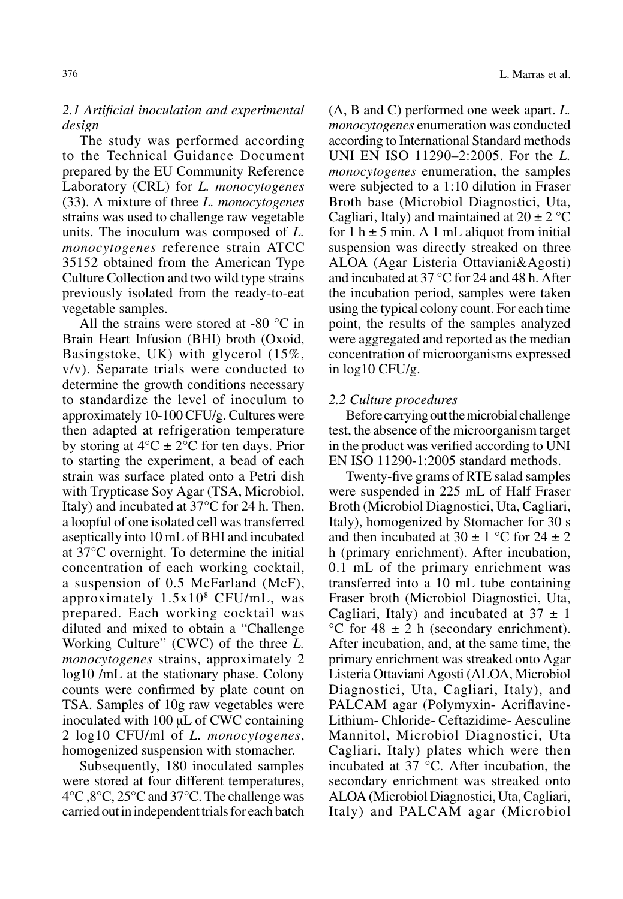# *2.1 Artificial inoculation and experimental design*

The study was performed according to the Technical Guidance Document prepared by the EU Community Reference Laboratory (CRL) for *L. monocytogenes*  (33). A mixture of three *L. monocytogenes* strains was used to challenge raw vegetable units. The inoculum was composed of *L. monocytogenes* reference strain ATCC 35152 obtained from the American Type Culture Collection and two wild type strains previously isolated from the ready-to-eat vegetable samples.

All the strains were stored at -80 °C in Brain Heart Infusion (BHI) broth (Oxoid, Basingstoke, UK) with glycerol (15%, v/v). Separate trials were conducted to determine the growth conditions necessary to standardize the level of inoculum to approximately 10-100 CFU/g. Cultures were then adapted at refrigeration temperature by storing at  $4^{\circ}C \pm 2^{\circ}C$  for ten days. Prior to starting the experiment, a bead of each strain was surface plated onto a Petri dish with Trypticase Soy Agar (TSA, Microbiol, Italy) and incubated at 37°C for 24 h. Then, a loopful of one isolated cell was transferred aseptically into 10 mL of BHI and incubated at 37°C overnight. To determine the initial concentration of each working cocktail, a suspension of 0.5 McFarland (McF), approximately 1.5x108 CFU/mL, was prepared. Each working cocktail was diluted and mixed to obtain a "Challenge Working Culture" (CWC) of the three *L. monocytogenes* strains, approximately 2 log10 /mL at the stationary phase. Colony counts were confirmed by plate count on TSA. Samples of 10g raw vegetables were inoculated with 100 μL of CWC containing 2 log10 CFU/ml of *L. monocytogenes*, homogenized suspension with stomacher.

Subsequently, 180 inoculated samples were stored at four different temperatures, 4°C ,8°C, 25°C and 37°C. The challenge was carried out in independent trials for each batch (A, B and C) performed one week apart. *L. monocytogenes* enumeration was conducted according to International Standard methods UNI EN ISO 11290–2:2005. For the *L. monocytogenes* enumeration, the samples were subjected to a 1:10 dilution in Fraser Broth base (Microbiol Diagnostici, Uta, Cagliari, Italy) and maintained at  $20 \pm 2$  °C for 1 h  $\pm$  5 min. A 1 mL aliquot from initial suspension was directly streaked on three ALOA (Agar Listeria Ottaviani&Agosti) and incubated at 37 °C for 24 and 48 h. After the incubation period, samples were taken using the typical colony count. For each time point, the results of the samples analyzed were aggregated and reported as the median concentration of microorganisms expressed in log10 CFU/g.

# *2.2 Culture procedures*

Before carrying out the microbial challenge test, the absence of the microorganism target in the product was verified according to UNI EN ISO 11290-1:2005 standard methods.

Twenty-five grams of RTE salad samples were suspended in 225 mL of Half Fraser Broth (Microbiol Diagnostici, Uta, Cagliari, Italy), homogenized by Stomacher for 30 s and then incubated at  $30 \pm 1$  °C for  $24 \pm 2$ h (primary enrichment). After incubation, 0.1 mL of the primary enrichment was transferred into a 10 mL tube containing Fraser broth (Microbiol Diagnostici, Uta, Cagliari, Italy) and incubated at  $37 \pm 1$  $\mathrm{^{\circ}C}$  for 48  $\pm$  2 h (secondary enrichment). After incubation, and, at the same time, the primary enrichment was streaked onto Agar Listeria Ottaviani Agosti (ALOA, Microbiol Diagnostici, Uta, Cagliari, Italy), and PALCAM agar (Polymyxin- Acriflavine-Lithium- Chloride- Ceftazidime- Aesculine Mannitol, Microbiol Diagnostici, Uta Cagliari, Italy) plates which were then incubated at 37 °C. After incubation, the secondary enrichment was streaked onto ALOA (Microbiol Diagnostici, Uta, Cagliari, Italy) and PALCAM agar (Microbiol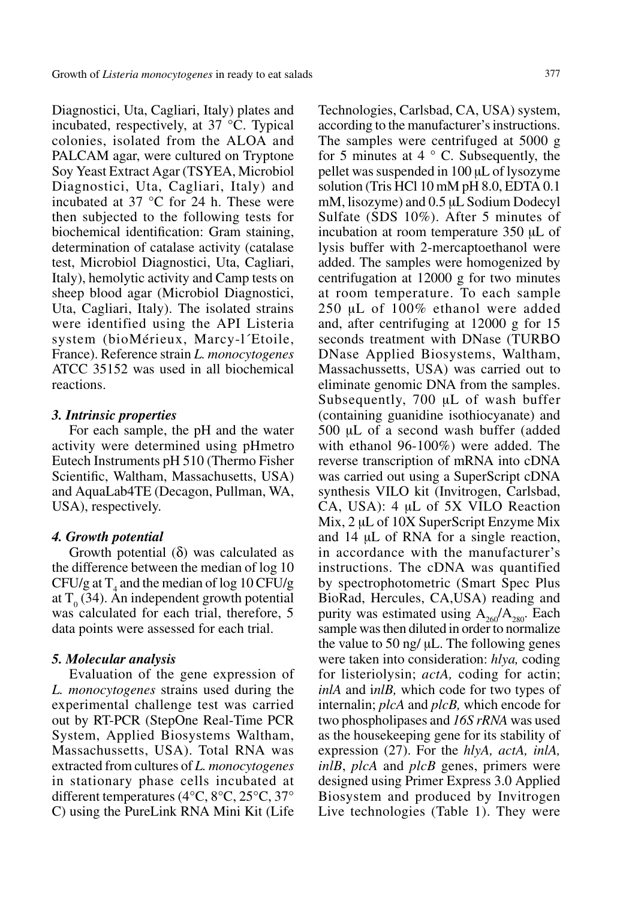Diagnostici, Uta, Cagliari, Italy) plates and incubated, respectively, at 37 °C. Typical colonies, isolated from the ALOA and PALCAM agar, were cultured on Tryptone Soy Yeast Extract Agar (TSYEA, Microbiol Diagnostici, Uta, Cagliari, Italy) and incubated at 37 °C for 24 h. These were then subjected to the following tests for biochemical identification: Gram staining, determination of catalase activity (catalase test, Microbiol Diagnostici, Uta, Cagliari, Italy), hemolytic activity and Camp tests on sheep blood agar (Microbiol Diagnostici, Uta, Cagliari, Italy). The isolated strains were identified using the API Listeria system (bioMérieux, Marcy-l´Etoile, France). Reference strain *L. monocytogenes* ATCC 35152 was used in all biochemical reactions.

## *3. Intrinsic properties*

For each sample, the pH and the water activity were determined using pHmetro Eutech Instruments pH 510 (Thermo Fisher Scientific, Waltham, Massachusetts, USA) and AquaLab4TE (Decagon, Pullman, WA, USA), respectively.

#### *4. Growth potential*

Growth potential  $(\delta)$  was calculated as the difference between the median of log 10 CFU/g at  $T_4$  and the median of log 10 CFU/g at  $T_0$  (34). An independent growth potential was calculated for each trial, therefore, 5 data points were assessed for each trial.

## *5. Molecular analysis*

Evaluation of the gene expression of *L. monocytogenes* strains used during the experimental challenge test was carried out by RT-PCR (StepOne Real-Time PCR System, Applied Biosystems Waltham, Massachussetts, USA). Total RNA was extracted from cultures of *L. monocytogenes* in stationary phase cells incubated at different temperatures (4°C, 8°C, 25°C, 37° C) using the PureLink RNA Mini Kit (Life Technologies, Carlsbad, CA, USA) system, according to the manufacturer's instructions. The samples were centrifuged at 5000 g for 5 minutes at 4  $\degree$  C. Subsequently, the pellet was suspended in 100 µL of lysozyme solution (Tris HCl 10 mM pH 8.0, EDTA 0.1 mM, lisozyme) and  $0.5 \mu L$  Sodium Dodecyl Sulfate (SDS 10%). After 5 minutes of incubation at room temperature 350 µL of lysis buffer with 2-mercaptoethanol were added. The samples were homogenized by centrifugation at 12000 g for two minutes at room temperature. To each sample 250 µL of 100% ethanol were added and, after centrifuging at 12000 g for 15 seconds treatment with DNase (TURBO DNase Applied Biosystems, Waltham, Massachussetts, USA) was carried out to eliminate genomic DNA from the samples. Subsequently, 700 µL of wash buffer (containing guanidine isothiocyanate) and 500 µL of a second wash buffer (added with ethanol 96-100%) were added. The reverse transcription of mRNA into cDNA was carried out using a SuperScript cDNA synthesis VILO kit (Invitrogen, Carlsbad, CA, USA): 4 µL of 5X VILO Reaction Mix, 2 µL of 10X SuperScript Enzyme Mix and 14 µL of RNA for a single reaction, in accordance with the manufacturer's instructions. The cDNA was quantified by spectrophotometric (Smart Spec Plus BioRad, Hercules, CA,USA) reading and purity was estimated using  $A_{260}/A_{280}$ . Each sample was then diluted in order to normalize the value to 50 ng/ µL. The following genes were taken into consideration: *hlya,* coding for listeriolysin; *actA*, coding for actin; *inlA* and i*nlB,* which code for two types of internalin; *plcA* and *plcB,* which encode for two phospholipases and *16S rRNA* was used as the housekeeping gene for its stability of expression (27). For the *hlyA, actA, inlA, inlB*, *plcA* and *plcB* genes, primers were designed using Primer Express 3.0 Applied Biosystem and produced by Invitrogen Live technologies (Table 1). They were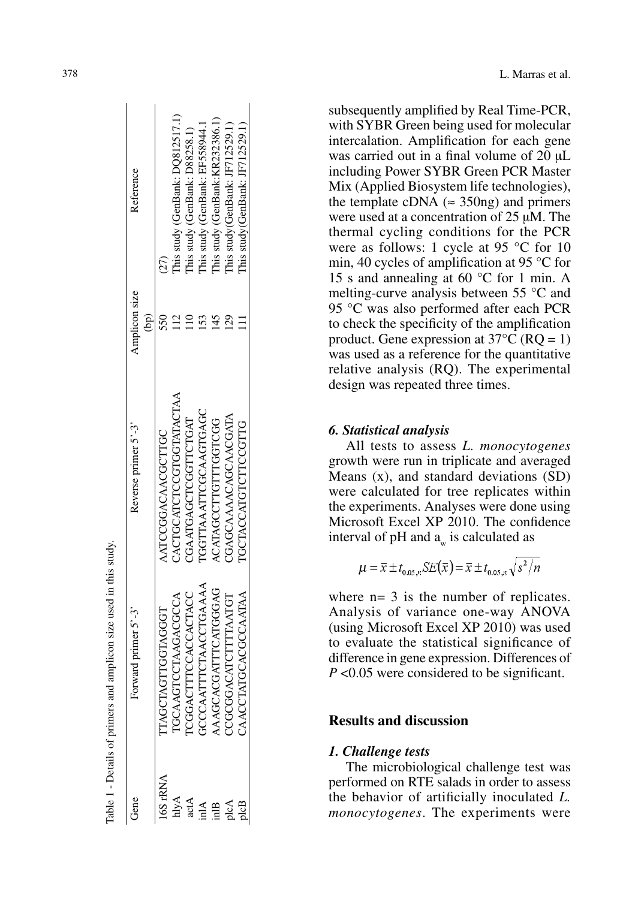| CACTGCATCTCGTGGTATACTAA<br>IGGTTAAATTCGCAAGTGAGC<br>CGAATGAGCTCGTTCTGAT<br>ACATAGCCTTGTTTGGTCGG<br>Reverse primer 5'-3'<br>ATCCGGACAACGCTTGC<br><b>GCCAATTTCTAACCTGAAAA</b><br>AAGCACGATTCATGGGAG<br><b>ICGGACTTTCCACCACTACC</b><br><b>IGCAAGTCCTAAGACGCCA</b><br><b>TAGCTAGTTGGTAGGT</b><br>Forward primer 5'-3'<br><b>ANA</b><br><b>ANA</b><br>hlyA<br>bene<br>actA<br>$\mathbb{A}$<br>inlB |                      |                      |                                  |
|-----------------------------------------------------------------------------------------------------------------------------------------------------------------------------------------------------------------------------------------------------------------------------------------------------------------------------------------------------------------------------------------------|----------------------|----------------------|----------------------------------|
|                                                                                                                                                                                                                                                                                                                                                                                               |                      | Amplicon size<br>eq) | Reference                        |
|                                                                                                                                                                                                                                                                                                                                                                                               |                      |                      |                                  |
|                                                                                                                                                                                                                                                                                                                                                                                               |                      |                      | This study (GenBank: DQ812517.1) |
|                                                                                                                                                                                                                                                                                                                                                                                               |                      |                      | This study (GenBank: D88258.1)   |
|                                                                                                                                                                                                                                                                                                                                                                                               |                      |                      | This study (GenBank: EF558944.1  |
|                                                                                                                                                                                                                                                                                                                                                                                               |                      |                      | This study (GenBank:KR232386.1)  |
| CCCCGACATTTTAATGT<br>plcA                                                                                                                                                                                                                                                                                                                                                                     | CGAGCAAAACAGCAACGATA |                      | This study (GenBank: JF712529.1) |
| <b>IGCTACCATGTTCCGTTG</b><br>CGCCAATAA<br>CAACCTATGCA<br>plcB                                                                                                                                                                                                                                                                                                                                 |                      |                      | This study(GenBank: JF712529.1)  |

subsequently amplified by Real Time-PCR, with SYBR Green being used for molecular intercalation. Amplification for each gene was carried out in a final volume of 20  $\mu$ L including Power SYBR Green PCR Master Mix (Applied Biosystem life technologies), the template cDNA ( $\approx$  350ng) and primers were used at a concentration of 25  $\mu$ M. The thermal cycling conditions for the PCR were as follows: 1 cycle at 95 °C for 10 min, 40 cycles of amplification at 95 °C for 15 s and annealing at 60 °C for 1 min. A melting-curve analysis between 55 °C and 95 °C was also performed after each PCR to check the specificity of the amplification product. Gene expression at  $37^{\circ}$ C (RQ = 1) was used as a reference for the quantitative relative analysis (RQ). The experimental design was repeated three times.

## *6. Statistical analysis*

All tests to assess *L. monocytogenes* growth were run in triplicate and averaged Means (x), and standard deviations (SD) were calculated for tree replicates within the experiments. Analyses were done using Microsoft Excel XP 2010. The confidence interval of pH and  $a_w$  is calculated as

$$
\mu = \overline{x} \pm t_{0.05,n} SE(\overline{x}) = \overline{x} \pm t_{0.05,n} \sqrt{s^2/n}
$$

where  $n= 3$  is the number of replicates. Analysis of variance one-way ANOVA (using Microsoft Excel XP 2010) was used to evaluate the statistical significance of difference in gene expression. Differences of *P* <0.05 were considered to be significant.

# **Results and discussion**

## *1. Challenge tests*

The microbiological challenge test was performed on RTE salads in order to assess the behavior of artificially inoculated *L. monocytogenes*. The experiments were

 $\overline{1}$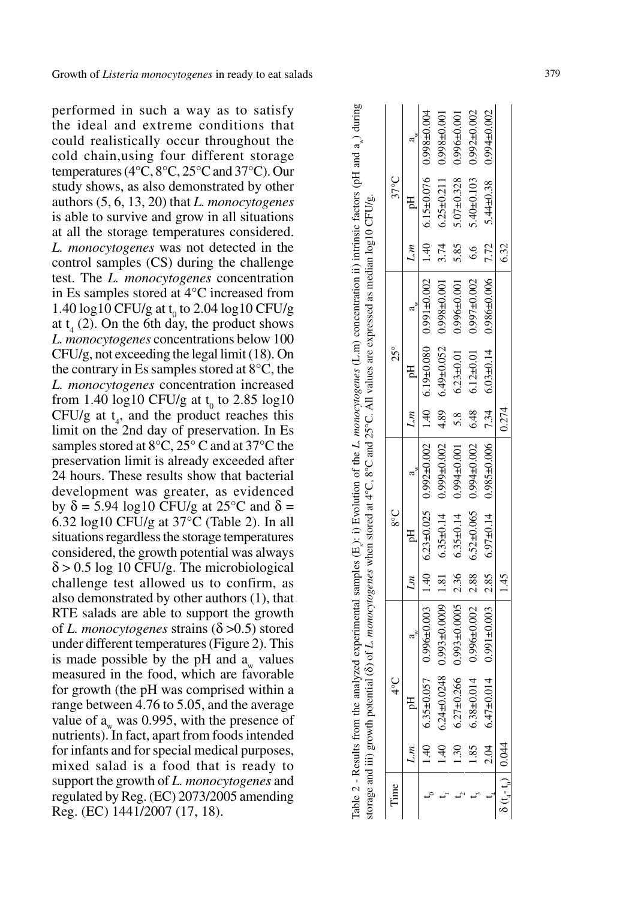| performed in such a way as to satisfy                                                                                  |
|------------------------------------------------------------------------------------------------------------------------|
| the ideal and extreme conditions that                                                                                  |
| could realistically occur throughout the                                                                               |
| cold chain, using four different storage                                                                               |
| temperatures ( $4^{\circ}$ C, $8^{\circ}$ C, $25^{\circ}$ C and $37^{\circ}$ C). Our                                   |
| study shows, as also demonstrated by other                                                                             |
| authors (5, 6, 13, 20) that L. monocytogenes                                                                           |
| is able to survive and grow in all situations                                                                          |
| at all the storage temperatures considered.                                                                            |
| L. <i>monocytogenes</i> was not detected in the                                                                        |
|                                                                                                                        |
| control samples (CS) during the challenge                                                                              |
| test. The L. monocytogenes concentration                                                                               |
| in Es samples stored at 4°C increased from                                                                             |
| 1.40 log10 CFU/g at $t_0$ to 2.04 log10 CFU/g                                                                          |
| at $t_4$ (2). On the 6th day, the product shows                                                                        |
| L. monocytogenes concentrations below 100                                                                              |
| CFU/g, not exceeding the legal limit (18). On                                                                          |
| the contrary in Es samples stored at $8^{\circ}$ C, the                                                                |
| L. monocytogenes concentration increased                                                                               |
| from 1.40 log10 CFU/g at $t_0$ to 2.85 log10                                                                           |
| CFU/g at $t_4$ , and the product reaches this                                                                          |
|                                                                                                                        |
| limit on the 2nd day of preservation. In Es<br>samples stored at $8^{\circ}C$ , $25^{\circ}C$ and at $37^{\circ}C$ the |
| preservation limit is already exceeded after                                                                           |
| 24 hours. These results show that bacterial                                                                            |
| development was greater, as evidenced                                                                                  |
| by $\delta$ = 5.94 log10 CFU/g at 25°C and $\delta$ =                                                                  |
| 6.32 log10 CFU/g at 37°C (Table 2). In all                                                                             |
| situations regardless the storage temperatures                                                                         |
| considered, the growth potential was always                                                                            |
| $\delta$ > 0.5 log 10 CFU/g. The microbiological                                                                       |
| challenge test allowed us to confirm, as                                                                               |
| also demonstrated by other authors (1), that                                                                           |
| RTE salads are able to support the growth                                                                              |
| of L. monocytogenes strains ( $\delta$ >0.5) stored                                                                    |
| under different temperatures (Figure 2). This                                                                          |
| is made possible by the pH and $a_w$ values                                                                            |
| measured in the food, which are favorable                                                                              |
| for growth (the pH was comprised within a                                                                              |
| range between 4.76 to 5.05, and the average                                                                            |
|                                                                                                                        |
| value of $a_w$ was 0.995, with the presence of<br>nutrients). In fact, apart from foods intended                       |
|                                                                                                                        |
| for infants and for special medical purposes,                                                                          |
| mixed salad is a food that is ready to                                                                                 |
| support the growth of L. monocytogenes and                                                                             |
| regulated by Reg. (EC) 2073/2005 amending                                                                              |
| Reg. (EC) 1441/2007 (17, 18).                                                                                          |

|                                 |      |                  | Table 2 - Results from the analyzed experimental samples (E <sub>s</sub> ): i) Evolution of the L monocytogenes (L.m) concentration ii) intrinsic factors (pH and a <sub>s</sub> ) during<br>storage and iii) growth potential ( $\delta$ ) of L. monocytogenes when stored at 4°C, 8°C and 25°C. All values are expressed as median log10 CFU/g. |      |                 |                                                     |       |                 |                   |      |                                    |                                  |
|---------------------------------|------|------------------|---------------------------------------------------------------------------------------------------------------------------------------------------------------------------------------------------------------------------------------------------------------------------------------------------------------------------------------------------|------|-----------------|-----------------------------------------------------|-------|-----------------|-------------------|------|------------------------------------|----------------------------------|
| lime                            |      | $\frac{1}{2}$    |                                                                                                                                                                                                                                                                                                                                                   |      | $\frac{8}{3}$   |                                                     |       | $25^{\circ}$    |                   |      | $37^{\circ}$ C                     |                                  |
|                                 | L.m  | pH               | $a^*$                                                                                                                                                                                                                                                                                                                                             |      | Lm              | $a_w$   Lm                                          |       |                 |                   | L.m  | E<br>E                             |                                  |
|                                 |      |                  | to 0.013495.6 0.2010 041 1 120004105.0 0.00094016 141 120004206.0 520094206.0 141 120004966.0 140004966.0 141 0                                                                                                                                                                                                                                   |      |                 |                                                     |       |                 |                   |      |                                    |                                  |
|                                 |      |                  | 17.5 11.0019-8660 0.52019-6459 682 1 20019-66610 tri0-FSE19 18:1   600010-FS6610 847010-F7475 0.1 101 17.4                                                                                                                                                                                                                                        |      |                 |                                                     |       |                 |                   |      | $6.25 \pm 0.211$ 0.998 $\pm 0.001$ |                                  |
|                                 |      |                  | $1.30$ $6.27 \pm 0.266$ $0.993 \pm 0.0005$ 2.36                                                                                                                                                                                                                                                                                                   |      | $6.35 \pm 0.14$ | $0.994 \pm 0.001$ 5.8                               |       | $6.23 \pm 0.01$ | $0.996 \pm 0.001$ | 5.85 | $5.07 \pm 0.328$                   | $0.996 \pm 0.001$                |
|                                 | 1.85 | $6.38 \pm 0.014$ | $0.996 \pm 0.002$   2.88                                                                                                                                                                                                                                                                                                                          |      |                 | $6.52\pm0.065$ $0.994\pm0.002$ $6.48$ $6.12\pm0.01$ |       |                 | $0.997 \pm 0.002$ | 6.6  | $5.40 \pm 0.103$                   | $0.992 \pm 0.002$                |
|                                 |      |                  | 0.04 0.47±0.014 0.03+0.03 0.85 0.95±0.00014 0.05+0.03 0.835 0.00000014 0.035 0.00014 0.035±0.03 4 0.03+0.03 1                                                                                                                                                                                                                                     |      |                 |                                                     |       |                 |                   |      |                                    | 5.44 $\pm$ 0.38 0.94 $\pm$ 0.002 |
| $\delta(t_{a} - t_{a})$   0.044 |      |                  |                                                                                                                                                                                                                                                                                                                                                   | 1.45 |                 |                                                     | 0.274 |                 |                   | 6.32 |                                    |                                  |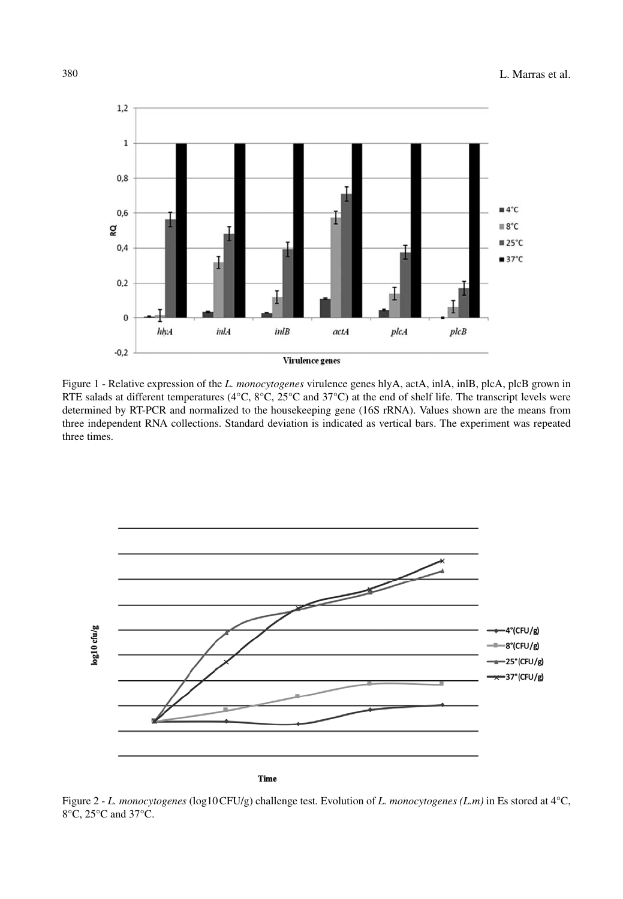

Figure 1 - Relative expression of the *L. monocytogenes* virulence genes hlyA, actA, inlA, inlB, plcA, plcB grown in RTE salads at different temperatures (4°C, 8°C, 25°C and 37°C) at the end of shelf life. The transcript levels were determined by RT-PCR and normalized to the housekeeping gene (16S rRNA). Values shown are the means from three independent RNA collections. Standard deviation is indicated as vertical bars. The experiment was repeated three times.



Figure 2 - *L. monocytogenes* (log10CFU/g) challenge test*.* Evolution of *L. monocytogenes (L.m)* in Es stored at 4°C, 8°C, 25°C and 37°C.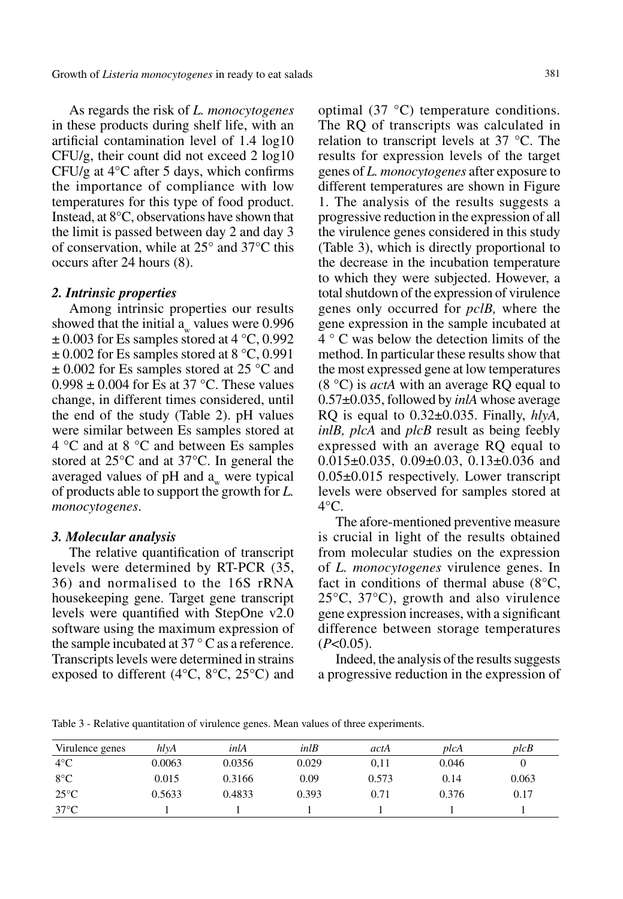As regards the risk of *L. monocytogenes* in these products during shelf life, with an artificial contamination level of 1.4 log10 CFU/g, their count did not exceed 2 log10 CFU/g at  $4^{\circ}$ C after 5 days, which confirms the importance of compliance with low temperatures for this type of food product. Instead, at 8°C, observations have shown that the limit is passed between day 2 and day 3 of conservation, while at 25° and 37°C this occurs after 24 hours (8).

#### *2. Intrinsic properties*

Among intrinsic properties our results showed that the initial  $a_w$  values were 0.996  $\pm$  0.003 for Es samples stored at 4 °C, 0.992  $\pm$  0.002 for Es samples stored at 8 °C, 0.991  $\pm$  0.002 for Es samples stored at 25 °C and  $0.998 \pm 0.004$  for Es at 37 °C. These values change, in different times considered, until the end of the study (Table 2). pH values were similar between Es samples stored at 4 °C and at 8 °C and between Es samples stored at 25°C and at 37°C. In general the averaged values of  $pH$  and  $a_{w}$  were typical of products able to support the growth for *L. monocytogenes*.

#### *3. Molecular analysis*

The relative quantification of transcript levels were determined by RT-PCR (35, 36) and normalised to the 16S rRNA housekeeping gene. Target gene transcript levels were quantified with StepOne v2.0 software using the maximum expression of the sample incubated at  $37 \degree$ C as a reference. Transcripts levels were determined in strains exposed to different (4 $\rm ^{o}C$ , 8 $\rm ^{o}C$ , 25 $\rm ^{o}C$ ) and

optimal (37 °C) temperature conditions. The RQ of transcripts was calculated in relation to transcript levels at 37 °C. The results for expression levels of the target genes of *L. monocytogenes* after exposure to different temperatures are shown in Figure 1. The analysis of the results suggests a progressive reduction in the expression of all the virulence genes considered in this study (Table 3), which is directly proportional to the decrease in the incubation temperature to which they were subjected. However, a total shutdown of the expression of virulence genes only occurred for *pclB,* where the gene expression in the sample incubated at 4 ° C was below the detection limits of the method. In particular these results show that the most expressed gene at low temperatures (8 °C) is *actA* with an average RQ equal to 0.57±0.035, followed by *inlA* whose average RQ is equal to 0.32±0.035. Finally, *hlyA, inlB, plcA* and *plcB* result as being feebly expressed with an average RQ equal to 0.015±0.035, 0.09±0.03, 0.13±0.036 and 0.05±0.015 respectively. Lower transcript levels were observed for samples stored at  $4^{\circ}$ C.

The afore-mentioned preventive measure is crucial in light of the results obtained from molecular studies on the expression of *L. monocytogenes* virulence genes. In fact in conditions of thermal abuse  $(8^{\circ}C,$ 25°C, 37°C), growth and also virulence gene expression increases, with a significant difference between storage temperatures  $(P<0.05)$ .

Indeed, the analysis of the results suggests a progressive reduction in the expression of

Table 3 - Relative quantitation of virulence genes. Mean values of three experiments.

| Virulence genes | hlvA   | inlA   | $in$ <sup>IB</sup> | actA  | plcA  | plcB  |
|-----------------|--------|--------|--------------------|-------|-------|-------|
| $4^{\circ}$ C   | 0.0063 | 0.0356 | 0.029              | 0.11  | 0.046 |       |
| $8^{\circ}$ C   | 0.015  | 0.3166 | 0.09               | 0.573 | 0.14  | 0.063 |
| $25^{\circ}$ C  | 0.5633 | 0.4833 | 0.393              | 0.71  | 0.376 | 0.17  |
| $37^{\circ}$ C  |        |        |                    |       |       |       |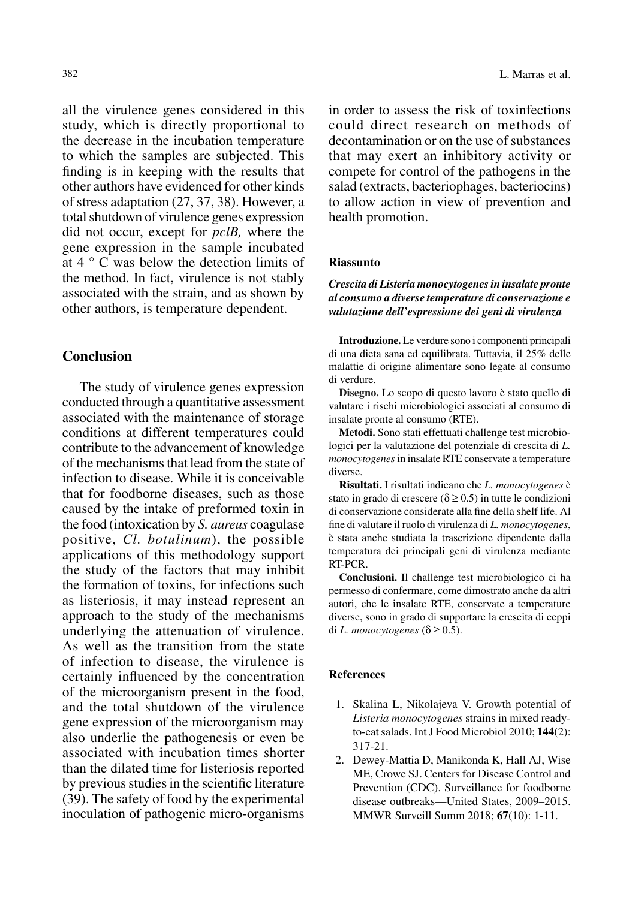all the virulence genes considered in this study, which is directly proportional to the decrease in the incubation temperature to which the samples are subjected. This finding is in keeping with the results that other authors have evidenced for other kinds of stress adaptation (27, 37, 38). However, a total shutdown of virulence genes expression did not occur, except for *pclB,* where the gene expression in the sample incubated at 4 ° C was below the detection limits of the method. In fact, virulence is not stably associated with the strain, and as shown by other authors, is temperature dependent.

## **Conclusion**

The study of virulence genes expression conducted through a quantitative assessment associated with the maintenance of storage conditions at different temperatures could contribute to the advancement of knowledge of the mechanisms that lead from the state of infection to disease. While it is conceivable that for foodborne diseases, such as those caused by the intake of preformed toxin in the food (intoxication by *S. aureus* coagulase positive, *Cl. botulinum*), the possible applications of this methodology support the study of the factors that may inhibit the formation of toxins, for infections such as listeriosis, it may instead represent an approach to the study of the mechanisms underlying the attenuation of virulence. As well as the transition from the state of infection to disease, the virulence is certainly influenced by the concentration of the microorganism present in the food, and the total shutdown of the virulence gene expression of the microorganism may also underlie the pathogenesis or even be associated with incubation times shorter than the dilated time for listeriosis reported by previous studies in the scientific literature (39). The safety of food by the experimental inoculation of pathogenic micro-organisms

in order to assess the risk of toxinfections could direct research on methods of decontamination or on the use of substances that may exert an inhibitory activity or compete for control of the pathogens in the salad (extracts, bacteriophages, bacteriocins) to allow action in view of prevention and health promotion.

#### **Riassunto**

#### *Crescita di Listeria monocytogenes in insalate pronte al consumo a diverse temperature di conservazione e valutazione dell'espressione dei geni di virulenza*

**Introduzione.** Le verdure sono i componenti principali di una dieta sana ed equilibrata. Tuttavia, il 25% delle malattie di origine alimentare sono legate al consumo di verdure.

**Disegno.** Lo scopo di questo lavoro è stato quello di valutare i rischi microbiologici associati al consumo di insalate pronte al consumo (RTE).

**Metodi.** Sono stati effettuati challenge test microbiologici per la valutazione del potenziale di crescita di *L. monocytogenes* in insalate RTE conservate a temperature diverse.

**Risultati.** I risultati indicano che *L. monocytogenes* è stato in grado di crescere ( $\delta \ge 0.5$ ) in tutte le condizioni di conservazione considerate alla fine della shelf life. Al fine di valutare il ruolo di virulenza di *L. monocytogenes*, è stata anche studiata la trascrizione dipendente dalla temperatura dei principali geni di virulenza mediante RT-PCR.

**Conclusioni.** Il challenge test microbiologico ci ha permesso di confermare, come dimostrato anche da altri autori, che le insalate RTE, conservate a temperature diverse, sono in grado di supportare la crescita di ceppi di *L. monocytogenes* ( $\delta \ge 0.5$ ).

#### **References**

- 1. Skalina L, Nikolajeva V. Growth potential of *Listeria monocytogenes* strains in mixed readyto-eat salads. Int J Food Microbiol 2010; **144**(2): 317-21.
- 2. Dewey-Mattia D, Manikonda K, Hall AJ, Wise ME, Crowe SJ. Centers for Disease Control and Prevention (CDC). Surveillance for foodborne disease outbreaks—United States, 2009–2015. MMWR Surveill Summ 2018; **67**(10): 1-11.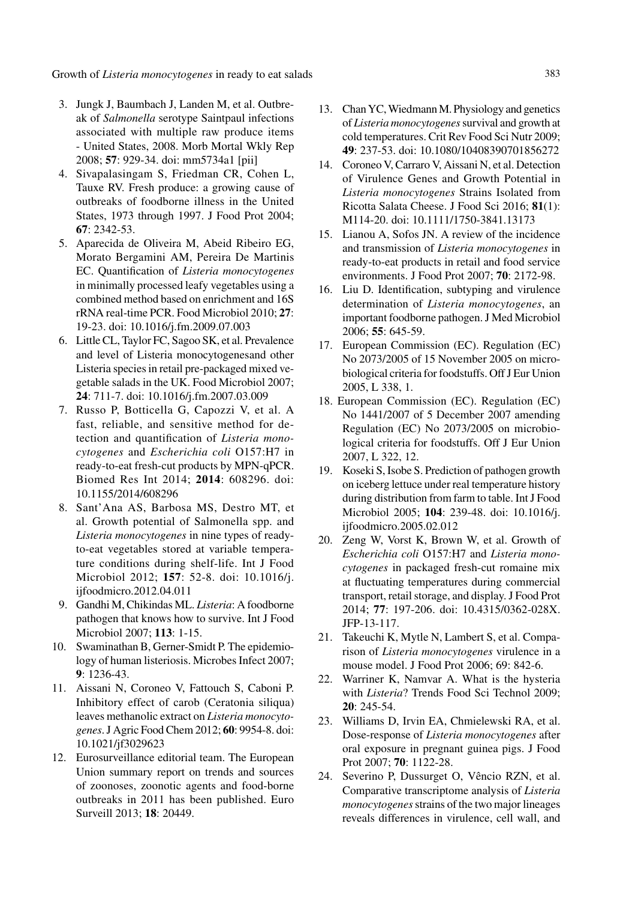Growth of *Listeria monocytogenes* in ready to eat salads 383

- 3. Jungk J, Baumbach J, Landen M, et al. Outbreak of *Salmonella* serotype Saintpaul infections associated with multiple raw produce items - United States, 2008. Morb Mortal Wkly Rep 2008; **57**: 929-34. doi: mm5734a1 [pii]
- 4. Sivapalasingam S, Friedman CR, Cohen L, Tauxe RV. Fresh produce: a growing cause of outbreaks of foodborne illness in the United States, 1973 through 1997. J Food Prot 2004; **67**: 2342-53.
- 5. Aparecida de Oliveira M, Abeid Ribeiro EG, Morato Bergamini AM, Pereira De Martinis EC. Quantification of *Listeria monocytogenes* in minimally processed leafy vegetables using a combined method based on enrichment and 16S rRNA real-time PCR. Food Microbiol 2010; **27**: 19-23. doi: 10.1016/j.fm.2009.07.003
- 6. Little CL, Taylor FC, Sagoo SK, et al. Prevalence and level of Listeria monocytogenesand other Listeria species in retail pre-packaged mixed vegetable salads in the UK. Food Microbiol 2007; **24**: 711-7. doi: 10.1016/j.fm.2007.03.009
- 7. Russo P, Botticella G, Capozzi V, et al. A fast, reliable, and sensitive method for detection and quantification of *Listeria monocytogenes* and *Escherichia coli* O157:H7 in ready-to-eat fresh-cut products by MPN-qPCR. Biomed Res Int 2014; **2014**: 608296. doi: 10.1155/2014/608296
- 8. Sant'Ana AS, Barbosa MS, Destro MT, et al. Growth potential of Salmonella spp. and *Listeria monocytogenes* in nine types of readyto-eat vegetables stored at variable temperature conditions during shelf-life. Int J Food Microbiol 2012; **157**: 52-8. doi: 10.1016/j. ijfoodmicro.2012.04.011
- 9. Gandhi M, Chikindas ML. *Listeria*: A foodborne pathogen that knows how to survive. Int J Food Microbiol 2007; **113**: 1-15.
- 10. Swaminathan B, Gerner-Smidt P. The epidemiology of human listeriosis. Microbes Infect 2007; **9**: 1236-43.
- 11. Aissani N, Coroneo V, Fattouch S, Caboni P. Inhibitory effect of carob (Ceratonia siliqua) leaves methanolic extract on *Listeria monocytogenes*. J Agric Food Chem 2012; **60**: 9954-8. doi: 10.1021/jf3029623
- 12. Eurosurveillance editorial team. The European Union summary report on trends and sources of zoonoses, zoonotic agents and food-borne outbreaks in 2011 has been published. Euro Surveill 2013; **18**: 20449.
- 13. Chan YC, Wiedmann M. Physiology and genetics of *Listeria monocytogenes* survival and growth at cold temperatures. Crit Rev Food Sci Nutr 2009; **49**: 237-53. doi: 10.1080/10408390701856272
- 14. Coroneo V, Carraro V, Aissani N, et al. Detection of Virulence Genes and Growth Potential in *Listeria monocytogenes* Strains Isolated from Ricotta Salata Cheese. J Food Sci 2016; **81**(1): M114-20. doi: 10.1111/1750-3841.13173
- 15. Lianou A, Sofos JN. A review of the incidence and transmission of *Listeria monocytogenes* in ready-to-eat products in retail and food service environments. J Food Prot 2007; **70**: 2172-98.
- 16. Liu D. Identification, subtyping and virulence determination of *Listeria monocytogenes*, an important foodborne pathogen. J Med Microbiol 2006; **55**: 645-59.
- 17. European Commission (EC). Regulation (EC) No 2073/2005 of 15 November 2005 on microbiological criteria for foodstuffs. Off J Eur Union 2005, L 338, 1.
- 18. European Commission (EC). Regulation (EC) No 1441/2007 of 5 December 2007 amending Regulation (EC) No 2073/2005 on microbiological criteria for foodstuffs. Off J Eur Union 2007, L 322, 12.
- 19. Koseki S, Isobe S. Prediction of pathogen growth on iceberg lettuce under real temperature history during distribution from farm to table. Int J Food Microbiol 2005; **104**: 239-48. doi: 10.1016/j. ijfoodmicro.2005.02.012
- 20. Zeng W, Vorst K, Brown W, et al. Growth of *Escherichia coli* O157:H7 and *Listeria monocytogenes* in packaged fresh-cut romaine mix at fluctuating temperatures during commercial transport, retail storage, and display. J Food Prot 2014; **77**: 197-206. doi: 10.4315/0362-028X. JFP-13-117.
- 21. Takeuchi K, Mytle N, Lambert S, et al. Comparison of *Listeria monocytogenes* virulence in a mouse model. J Food Prot 2006; 69: 842-6.
- 22. Warriner K, Namvar A. What is the hysteria with *Listeria*? Trends Food Sci Technol 2009; **20**: 245-54.
- 23. Williams D, Irvin EA, Chmielewski RA, et al. Dose-response of *Listeria monocytogenes* after oral exposure in pregnant guinea pigs. J Food Prot 2007; **70**: 1122-28.
- 24. Severino P, Dussurget O, Vêncio RZN, et al. Comparative transcriptome analysis of *Listeria monocytogenes* strains of the two major lineages reveals differences in virulence, cell wall, and